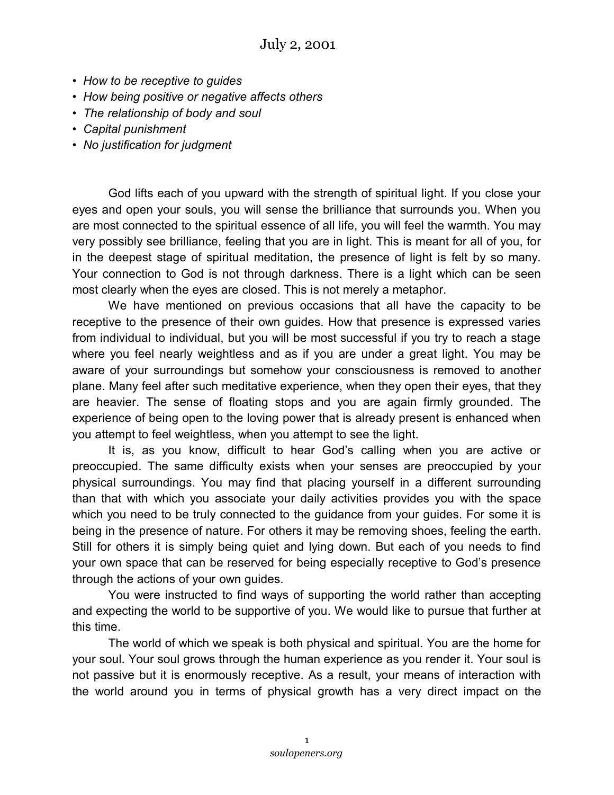- *How to be receptive to guides*
- *How being positive or negative affects others*
- *The relationship of body and soul*
- *Capital punishment*
- *No justification for judgment*

God lifts each of you upward with the strength of spiritual light. If you close your eyes and open your souls, you will sense the brilliance that surrounds you. When you are most connected to the spiritual essence of all life, you will feel the warmth. You may very possibly see brilliance, feeling that you are in light. This is meant for all of you, for in the deepest stage of spiritual meditation, the presence of light is felt by so many. Your connection to God is not through darkness. There is a light which can be seen most clearly when the eyes are closed. This is not merely a metaphor.

We have mentioned on previous occasions that all have the capacity to be receptive to the presence of their own guides. How that presence is expressed varies from individual to individual, but you will be most successful if you try to reach a stage where you feel nearly weightless and as if you are under a great light. You may be aware of your surroundings but somehow your consciousness is removed to another plane. Many feel after such meditative experience, when they open their eyes, that they are heavier. The sense of floating stops and you are again firmly grounded. The experience of being open to the loving power that is already present is enhanced when you attempt to feel weightless, when you attempt to see the light.

It is, as you know, difficult to hear God's calling when you are active or preoccupied. The same difficulty exists when your senses are preoccupied by your physical surroundings. You may find that placing yourself in a different surrounding than that with which you associate your daily activities provides you with the space which you need to be truly connected to the guidance from your guides. For some it is being in the presence of nature. For others it may be removing shoes, feeling the earth. Still for others it is simply being quiet and lying down. But each of you needs to find your own space that can be reserved for being especially receptive to God's presence through the actions of your own guides.

You were instructed to find ways of supporting the world rather than accepting and expecting the world to be supportive of you. We would like to pursue that further at this time.

The world of which we speak is both physical and spiritual. You are the home for your soul. Your soul grows through the human experience as you render it. Your soul is not passive but it is enormously receptive. As a result, your means of interaction with the world around you in terms of physical growth has a very direct impact on the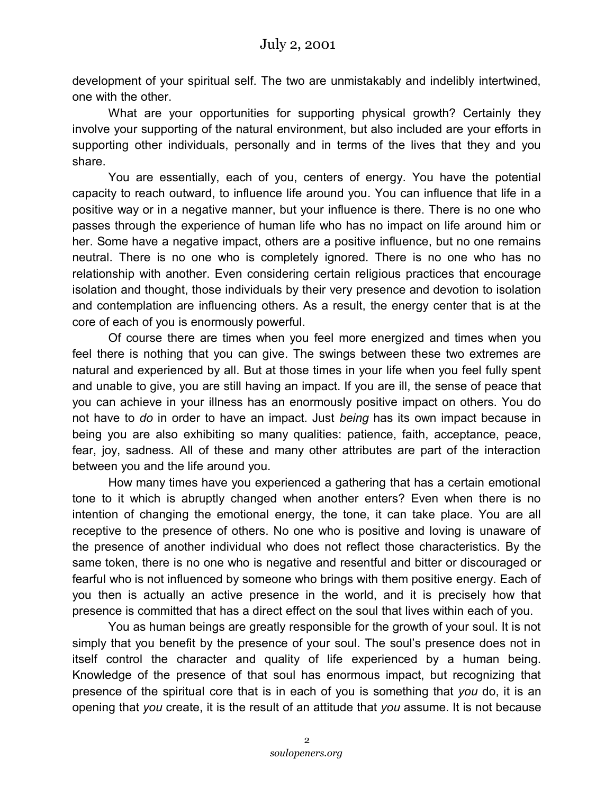development of your spiritual self. The two are unmistakably and indelibly intertwined, one with the other.

What are your opportunities for supporting physical growth? Certainly they involve your supporting of the natural environment, but also included are your efforts in supporting other individuals, personally and in terms of the lives that they and you share.

You are essentially, each of you, centers of energy. You have the potential capacity to reach outward, to influence life around you. You can influence that life in a positive way or in a negative manner, but your influence is there. There is no one who passes through the experience of human life who has no impact on life around him or her. Some have a negative impact, others are a positive influence, but no one remains neutral. There is no one who is completely ignored. There is no one who has no relationship with another. Even considering certain religious practices that encourage isolation and thought, those individuals by their very presence and devotion to isolation and contemplation are influencing others. As a result, the energy center that is at the core of each of you is enormously powerful.

Of course there are times when you feel more energized and times when you feel there is nothing that you can give. The swings between these two extremes are natural and experienced by all. But at those times in your life when you feel fully spent and unable to give, you are still having an impact. If you are ill, the sense of peace that you can achieve in your illness has an enormously positive impact on others. You do not have to *do* in order to have an impact. Just *being* has its own impact because in being you are also exhibiting so many qualities: patience, faith, acceptance, peace, fear, joy, sadness. All of these and many other attributes are part of the interaction between you and the life around you.

How many times have you experienced a gathering that has a certain emotional tone to it which is abruptly changed when another enters? Even when there is no intention of changing the emotional energy, the tone, it can take place. You are all receptive to the presence of others. No one who is positive and loving is unaware of the presence of another individual who does not reflect those characteristics. By the same token, there is no one who is negative and resentful and bitter or discouraged or fearful who is not influenced by someone who brings with them positive energy. Each of you then is actually an active presence in the world, and it is precisely how that presence is committed that has a direct effect on the soul that lives within each of you.

You as human beings are greatly responsible for the growth of your soul. It is not simply that you benefit by the presence of your soul. The soul's presence does not in itself control the character and quality of life experienced by a human being. Knowledge of the presence of that soul has enormous impact, but recognizing that presence of the spiritual core that is in each of you is something that *you* do, it is an opening that *you* create, it is the result of an attitude that *you* assume. It is not because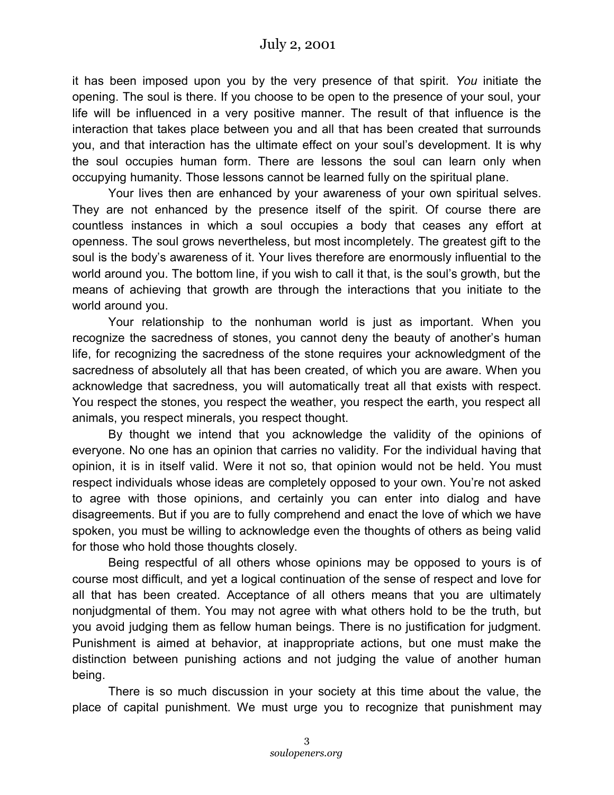it has been imposed upon you by the very presence of that spirit. *You* initiate the opening. The soul is there. If you choose to be open to the presence of your soul, your life will be influenced in a very positive manner. The result of that influence is the interaction that takes place between you and all that has been created that surrounds you, and that interaction has the ultimate effect on your soul's development. It is why the soul occupies human form. There are lessons the soul can learn only when occupying humanity. Those lessons cannot be learned fully on the spiritual plane.

Your lives then are enhanced by your awareness of your own spiritual selves. They are not enhanced by the presence itself of the spirit. Of course there are countless instances in which a soul occupies a body that ceases any effort at openness. The soul grows nevertheless, but most incompletely. The greatest gift to the soul is the body's awareness of it. Your lives therefore are enormously influential to the world around you. The bottom line, if you wish to call it that, is the soul's growth, but the means of achieving that growth are through the interactions that you initiate to the world around you.

Your relationship to the nonhuman world is just as important. When you recognize the sacredness of stones, you cannot deny the beauty of another's human life, for recognizing the sacredness of the stone requires your acknowledgment of the sacredness of absolutely all that has been created, of which you are aware. When you acknowledge that sacredness, you will automatically treat all that exists with respect. You respect the stones, you respect the weather, you respect the earth, you respect all animals, you respect minerals, you respect thought.

By thought we intend that you acknowledge the validity of the opinions of everyone. No one has an opinion that carries no validity. For the individual having that opinion, it is in itself valid. Were it not so, that opinion would not be held. You must respect individuals whose ideas are completely opposed to your own. You're not asked to agree with those opinions, and certainly you can enter into dialog and have disagreements. But if you are to fully comprehend and enact the love of which we have spoken, you must be willing to acknowledge even the thoughts of others as being valid for those who hold those thoughts closely.

Being respectful of all others whose opinions may be opposed to yours is of course most difficult, and yet a logical continuation of the sense of respect and love for all that has been created. Acceptance of all others means that you are ultimately nonjudgmental of them. You may not agree with what others hold to be the truth, but you avoid judging them as fellow human beings. There is no justification for judgment. Punishment is aimed at behavior, at inappropriate actions, but one must make the distinction between punishing actions and not judging the value of another human being.

There is so much discussion in your society at this time about the value, the place of capital punishment. We must urge you to recognize that punishment may